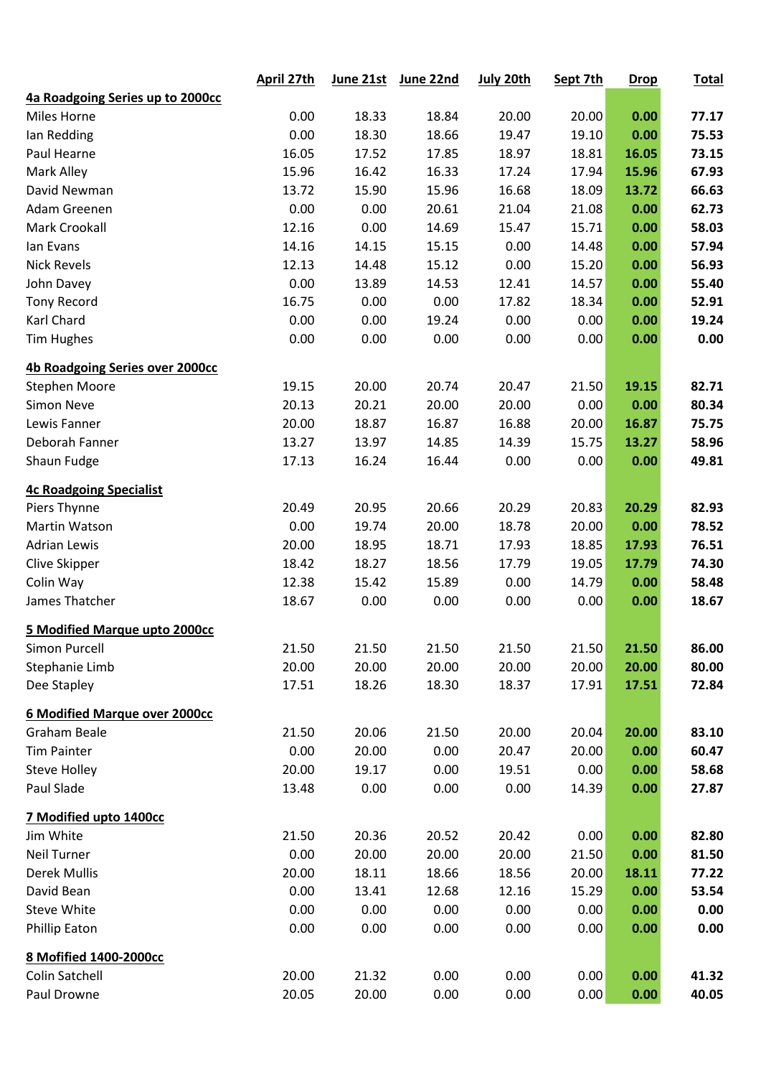|                                  | April 27th | June 21st | June 22nd | July 20th | Sept 7th | <b>Drop</b> | <b>Total</b> |
|----------------------------------|------------|-----------|-----------|-----------|----------|-------------|--------------|
| 4a Roadgoing Series up to 2000cc |            |           |           |           |          |             |              |
| <b>Miles Horne</b>               | 0.00       | 18.33     | 18.84     | 20.00     | 20.00    | 0.00        | 77.17        |
| Ian Redding                      | 0.00       | 18.30     | 18.66     | 19.47     | 19.10    | 0.00        | 75.53        |
| Paul Hearne                      | 16.05      | 17.52     | 17.85     | 18.97     | 18.81    | 16.05       | 73.15        |
| Mark Alley                       | 15.96      | 16.42     | 16.33     | 17.24     | 17.94    | 15.96       | 67.93        |
| David Newman                     | 13.72      | 15.90     | 15.96     | 16.68     | 18.09    | 13.72       | 66.63        |
| Adam Greenen                     | 0.00       | 0.00      | 20.61     | 21.04     | 21.08    | 0.00        | 62.73        |
| Mark Crookall                    | 12.16      | 0.00      | 14.69     | 15.47     | 15.71    | 0.00        | 58.03        |
| lan Evans                        | 14.16      | 14.15     | 15.15     | 0.00      | 14.48    | 0.00        | 57.94        |
| <b>Nick Revels</b>               | 12.13      | 14.48     | 15.12     | 0.00      | 15.20    | 0.00        | 56.93        |
| John Davey                       | 0.00       | 13.89     | 14.53     | 12.41     | 14.57    | 0.00        | 55.40        |
| <b>Tony Record</b>               | 16.75      | 0.00      | 0.00      | 17.82     | 18.34    | 0.00        | 52.91        |
| Karl Chard                       | 0.00       | 0.00      | 19.24     | 0.00      | 0.00     | 0.00        | 19.24        |
| <b>Tim Hughes</b>                | 0.00       | 0.00      | 0.00      | 0.00      | 0.00     | 0.00        | 0.00         |
| 4b Roadgoing Series over 2000cc  |            |           |           |           |          |             |              |
| <b>Stephen Moore</b>             | 19.15      | 20.00     | 20.74     | 20.47     | 21.50    | 19.15       | 82.71        |
| <b>Simon Neve</b>                | 20.13      | 20.21     | 20.00     | 20.00     | 0.00     | 0.00        | 80.34        |
| Lewis Fanner                     | 20.00      | 18.87     | 16.87     | 16.88     | 20.00    | 16.87       | 75.75        |
| Deborah Fanner                   | 13.27      | 13.97     | 14.85     | 14.39     | 15.75    | 13.27       | 58.96        |
| Shaun Fudge                      | 17.13      | 16.24     | 16.44     | 0.00      | 0.00     | 0.00        | 49.81        |
| <b>4c Roadgoing Specialist</b>   |            |           |           |           |          |             |              |
| Piers Thynne                     | 20.49      | 20.95     | 20.66     | 20.29     | 20.83    | 20.29       | 82.93        |
| Martin Watson                    | 0.00       | 19.74     | 20.00     | 18.78     | 20.00    | 0.00        | 78.52        |
| <b>Adrian Lewis</b>              | 20.00      | 18.95     | 18.71     | 17.93     | 18.85    | 17.93       | 76.51        |
| Clive Skipper                    | 18.42      | 18.27     | 18.56     | 17.79     | 19.05    | 17.79       | 74.30        |
| Colin Way                        | 12.38      | 15.42     | 15.89     | 0.00      | 14.79    | 0.00        | 58.48        |
| James Thatcher                   | 18.67      | 0.00      | 0.00      | 0.00      | 0.00     | 0.00        | 18.67        |
| 5 Modified Marque upto 2000cc    |            |           |           |           |          |             |              |
| Simon Purcell                    | 21.50      | 21.50     | 21.50     | 21.50     | 21.50    | 21.50       | 86.00        |
| Stephanie Limb                   | 20.00      | 20.00     | 20.00     | 20.00     | 20.00    | 20.00       | 80.00        |
| Dee Stapley                      | 17.51      | 18.26     | 18.30     | 18.37     | 17.91    | 17.51       | 72.84        |
| 6 Modified Marque over 2000cc    |            |           |           |           |          |             |              |
| <b>Graham Beale</b>              | 21.50      | 20.06     | 21.50     | 20.00     | 20.04    | 20.00       | 83.10        |
| <b>Tim Painter</b>               | 0.00       | 20.00     | 0.00      | 20.47     | 20.00    | 0.00        | 60.47        |
| <b>Steve Holley</b>              | 20.00      | 19.17     | 0.00      | 19.51     | 0.00     | 0.00        | 58.68        |
| Paul Slade                       | 13.48      | 0.00      | 0.00      | 0.00      | 14.39    | 0.00        | 27.87        |
| 7 Modified upto 1400cc           |            |           |           |           |          |             |              |
| Jim White                        | 21.50      | 20.36     | 20.52     | 20.42     | 0.00     | 0.00        | 82.80        |
| <b>Neil Turner</b>               | 0.00       | 20.00     | 20.00     | 20.00     | 21.50    | 0.00        | 81.50        |
| <b>Derek Mullis</b>              | 20.00      | 18.11     | 18.66     | 18.56     | 20.00    | 18.11       | 77.22        |
| David Bean                       | 0.00       | 13.41     | 12.68     | 12.16     | 15.29    | 0.00        | 53.54        |
| <b>Steve White</b>               | 0.00       | 0.00      | 0.00      | 0.00      | 0.00     | 0.00        | 0.00         |
| <b>Phillip Eaton</b>             | 0.00       | 0.00      | 0.00      | 0.00      | 0.00     | 0.00        | 0.00         |
| 8 Mofified 1400-2000cc           |            |           |           |           |          |             |              |
| Colin Satchell                   | 20.00      | 21.32     | 0.00      | 0.00      | 0.00     | 0.00        | 41.32        |
| Paul Drowne                      | 20.05      | 20.00     | 0.00      | 0.00      | 0.00     | 0.00        | 40.05        |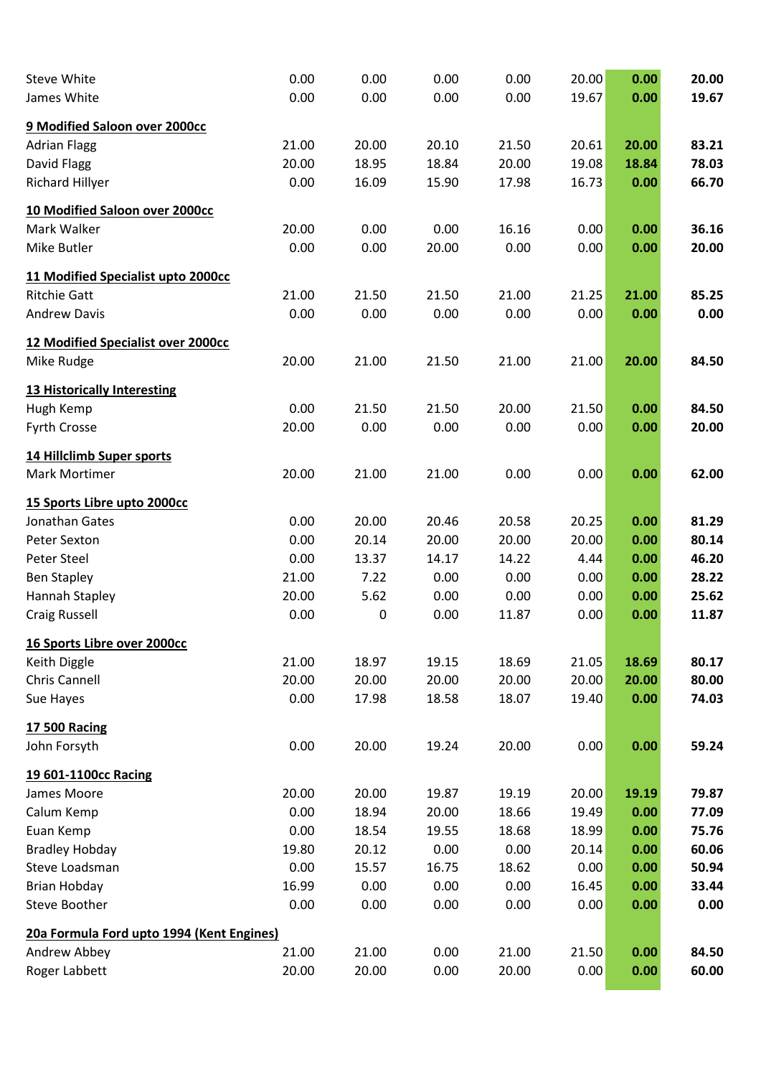| <b>Steve White</b>                                        | 0.00  | 0.00  | 0.00  | 0.00  | 20.00 | 0.00  | 20.00 |
|-----------------------------------------------------------|-------|-------|-------|-------|-------|-------|-------|
| James White                                               | 0.00  | 0.00  | 0.00  | 0.00  | 19.67 | 0.00  | 19.67 |
| 9 Modified Saloon over 2000cc                             |       |       |       |       |       |       |       |
| <b>Adrian Flagg</b>                                       | 21.00 | 20.00 | 20.10 | 21.50 | 20.61 | 20.00 | 83.21 |
| David Flagg                                               | 20.00 | 18.95 | 18.84 | 20.00 | 19.08 | 18.84 | 78.03 |
| <b>Richard Hillyer</b>                                    | 0.00  | 16.09 | 15.90 | 17.98 | 16.73 | 0.00  | 66.70 |
|                                                           |       |       |       |       |       |       |       |
| 10 Modified Saloon over 2000cc                            |       |       |       |       |       |       |       |
| Mark Walker                                               | 20.00 | 0.00  | 0.00  | 16.16 | 0.00  | 0.00  | 36.16 |
| Mike Butler                                               | 0.00  | 0.00  | 20.00 | 0.00  | 0.00  | 0.00  | 20.00 |
| 11 Modified Specialist upto 2000cc                        |       |       |       |       |       |       |       |
| <b>Ritchie Gatt</b>                                       | 21.00 | 21.50 | 21.50 | 21.00 | 21.25 | 21.00 | 85.25 |
| <b>Andrew Davis</b>                                       | 0.00  | 0.00  | 0.00  | 0.00  | 0.00  | 0.00  | 0.00  |
| <b>12 Modified Specialist over 2000cc</b>                 |       |       |       |       |       |       |       |
| Mike Rudge                                                | 20.00 | 21.00 | 21.50 | 21.00 | 21.00 | 20.00 | 84.50 |
|                                                           |       |       |       |       |       |       |       |
| 13 Historically Interesting<br>Hugh Kemp                  | 0.00  | 21.50 | 21.50 | 20.00 | 21.50 | 0.00  | 84.50 |
| <b>Fyrth Crosse</b>                                       | 20.00 | 0.00  | 0.00  | 0.00  | 0.00  | 0.00  | 20.00 |
|                                                           |       |       |       |       |       |       |       |
| 14 Hillclimb Super sports                                 |       |       |       |       |       |       |       |
| Mark Mortimer                                             | 20.00 | 21.00 | 21.00 | 0.00  | 0.00  | 0.00  | 62.00 |
| 15 Sports Libre upto 2000cc                               |       |       |       |       |       |       |       |
| Jonathan Gates                                            | 0.00  | 20.00 | 20.46 | 20.58 | 20.25 | 0.00  | 81.29 |
| Peter Sexton                                              | 0.00  | 20.14 | 20.00 | 20.00 | 20.00 | 0.00  | 80.14 |
| Peter Steel                                               | 0.00  | 13.37 | 14.17 | 14.22 | 4.44  | 0.00  | 46.20 |
| <b>Ben Stapley</b>                                        | 21.00 | 7.22  | 0.00  | 0.00  | 0.00  | 0.00  | 28.22 |
| Hannah Stapley                                            | 20.00 | 5.62  | 0.00  | 0.00  | 0.00  | 0.00  | 25.62 |
| <b>Craig Russell</b>                                      | 0.00  | 0     | 0.00  | 11.87 | 0.00  | 0.00  | 11.87 |
| 16 Sports Libre over 2000cc                               |       |       |       |       |       |       |       |
| Keith Diggle                                              | 21.00 | 18.97 | 19.15 | 18.69 | 21.05 | 18.69 | 80.17 |
| Chris Cannell                                             | 20.00 | 20.00 | 20.00 | 20.00 | 20.00 | 20.00 | 80.00 |
| Sue Hayes                                                 | 0.00  | 17.98 | 18.58 | 18.07 | 19.40 | 0.00  | 74.03 |
| <b>17 500 Racing</b>                                      |       |       |       |       |       |       |       |
| John Forsyth                                              | 0.00  | 20.00 | 19.24 | 20.00 | 0.00  | 0.00  | 59.24 |
| 19 601-1100cc Racing                                      |       |       |       |       |       |       |       |
| James Moore                                               | 20.00 | 20.00 | 19.87 | 19.19 | 20.00 | 19.19 | 79.87 |
| Calum Kemp                                                | 0.00  | 18.94 | 20.00 | 18.66 | 19.49 | 0.00  | 77.09 |
| Euan Kemp                                                 | 0.00  | 18.54 | 19.55 | 18.68 | 18.99 | 0.00  | 75.76 |
| <b>Bradley Hobday</b>                                     | 19.80 | 20.12 | 0.00  | 0.00  | 20.14 | 0.00  | 60.06 |
| Steve Loadsman                                            | 0.00  | 15.57 | 16.75 | 18.62 | 0.00  | 0.00  | 50.94 |
| Brian Hobday                                              | 16.99 | 0.00  | 0.00  | 0.00  | 16.45 | 0.00  | 33.44 |
| Steve Boother                                             | 0.00  | 0.00  | 0.00  | 0.00  | 0.00  | 0.00  | 0.00  |
|                                                           |       |       |       |       |       |       |       |
| 20a Formula Ford upto 1994 (Kent Engines)<br>Andrew Abbey | 21.00 | 21.00 | 0.00  | 21.00 | 21.50 | 0.00  | 84.50 |
| Roger Labbett                                             | 20.00 | 20.00 | 0.00  | 20.00 | 0.00  | 0.00  | 60.00 |
|                                                           |       |       |       |       |       |       |       |